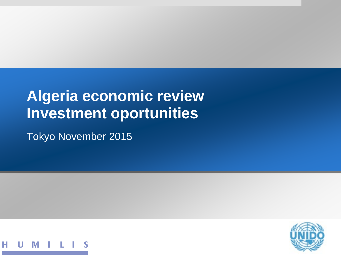# **Algeria economic review Investment oportunities**

Tokyo November 2015



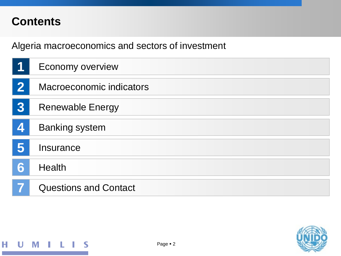#### **Contents**

Algeria macroeconomics and sectors of investment

| 1 | <b>Economy overview</b>         |
|---|---------------------------------|
| 2 | <b>Macroeconomic indicators</b> |
| 3 | <b>Renewable Energy</b>         |
| 4 | <b>Banking system</b>           |
| 5 | <b>Insurance</b>                |
| 6 | <b>Health</b>                   |
|   | <b>Questions and Contact</b>    |

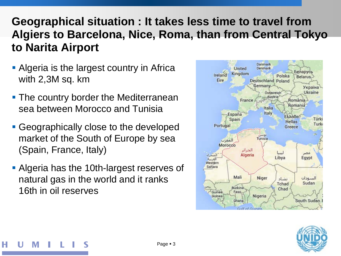## **Geographical situation : It takes less time to travel from Algiers to Barcelona, Nice, Roma, than from Central Tokyo to Narita Airport**

- **Algeria is the largest country in Africa** with 2,3M sq. km
- **The country border the Mediterranean** sea between Morocco and Tunisia
- Geographically close to the developed market of the South of Europe by sea (Spain, France, Italy)
- Algeria has the 10th-largest reserves of natural gas in the world and it ranks 16th in oil reserves



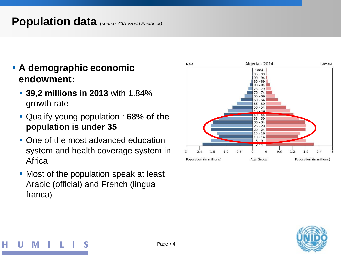#### **Population data** (*source: CIA World Factbook)*

- **A demographic economic endowment:**
	- **39,2 millions in 2013** with 1.84% growth rate
	- Qualify young population : **68% of the population is under 35**
	- One of the most advanced education system and health coverage system in **Africa**
	- **Most of the population speak at least** Arabic (official) and French (lingua franca)



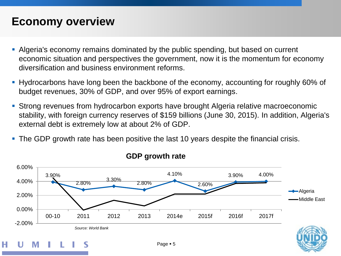### **Economy overview**

н

- Algeria's economy remains dominated by the public spending, but based on current economic situation and perspectives the government, now it is the momentum for economy diversification and business environment reforms.
- **Hydrocarbons have long been the backbone of the economy, accounting for roughly 60% of** budget revenues, 30% of GDP, and over 95% of export earnings.
- Strong revenues from hydrocarbon exports have brought Algeria relative macroeconomic stability, with foreign currency reserves of \$159 billions (June 30, 2015). In addition, Algeria's external debt is extremely low at about 2% of GDP.
- The GDP growth rate has been positive the last 10 years despite the financial crisis.



#### **GDP growth rate**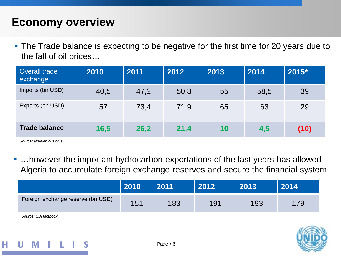### **Economy overview**

**The Trade balance is expecting to be negative for the first time for 20 years due to** the fall of oil prices…

| Overall trade<br>exchange | 2010 | 2011 | 2012 | 2013 | 2014 | 2015* |
|---------------------------|------|------|------|------|------|-------|
| Imports (bn USD)          | 40,5 | 47,2 | 50,3 | 55   | 58,5 | 39    |
| Exports (bn USD)          | 57   | 73,4 | 71,9 | 65   | 63   | 29    |
| <b>Trade balance</b>      | 16,5 | 26,2 | 21,4 | 10   | 4,5  | (10)  |

*Source: algerian customs* 

■ ...however the important hydrocarbon exportations of the last years has allowed Algeria to accumulate foreign exchange reserves and secure the financial system.

|                                   | 2010 | 2011 | 2012 | 2013 | 2014 |
|-----------------------------------|------|------|------|------|------|
| Foreign exchange reserve (bn USD) | 151  | 183  | 191  | 193  | 179  |

*Source: CIA factbook*

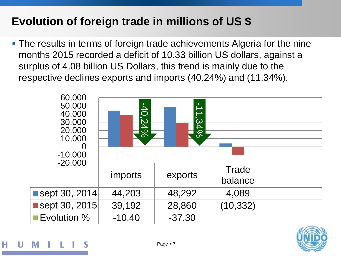# **Evolution of foreign trade in millions of US \$**

 The results in terms of foreign trade achievements Algeria for the nine months 2015 recorded a deficit of 10.33 billion US dollars, against a surplus of 4.08 billion US Dollars, this trend is mainly due to the respective declines exports and imports (40.24%) and (11.34%).



Page • 7

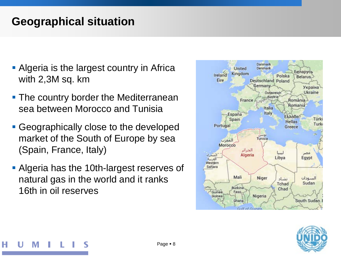## **Geographical situation**

- **Algeria is the largest country in Africa** with 2,3M sq. km
- **The country border the Mediterranean** sea between Morocco and Tunisia
- **Geographically close to the developed** market of the South of Europe by sea (Spain, France, Italy)
- Algeria has the 10th-largest reserves of natural gas in the world and it ranks 16th in oil reserves



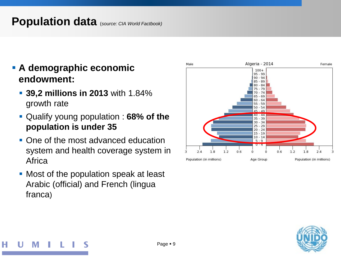#### **Population data** (*source: CIA World Factbook)*

- **A demographic economic endowment:**
	- **39,2 millions in 2013** with 1.84% growth rate
	- Qualify young population : **68% of the population is under 35**
	- One of the most advanced education system and health coverage system in **Africa**
	- **Most of the population speak at least** Arabic (official) and French (lingua franca)



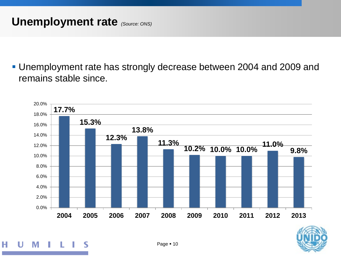#### **Unemployment rate** *(Source: ONS)*

 Unemployment rate has strongly decrease between 2004 and 2009 and remains stable since.





н M S w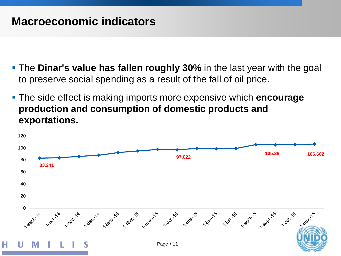#### **Macroeconomic indicators**

- The **Dinar's value has fallen roughly 30%** in the last year with the goal to preserve social spending as a result of the fall of oil price.
- The side effect is making imports more expensive which **encourage production and consumption of domestic products and exportations.**

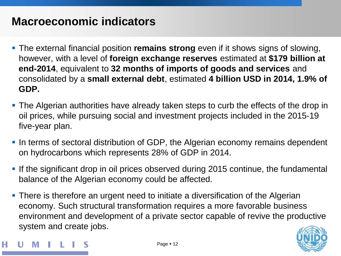#### **Macroeconomic indicators**

- The external financial position **remains strong** even if it shows signs of slowing, however, with a level of **foreign exchange reserves** estimated at **\$179 billion at end-2014**, equivalent to **32 months of imports of goods and services** and consolidated by a **small external debt**, estimated **4 billion USD in 2014, 1.9% of GDP.**
- The Algerian authorities have already taken steps to curb the effects of the drop in oil prices, while pursuing social and investment projects included in the 2015-19 five-year plan.
- If In terms of sectoral distribution of GDP, the Algerian economy remains dependent on hydrocarbons which represents 28% of GDP in 2014.
- If the significant drop in oil prices observed during 2015 continue, the fundamental balance of the Algerian economy could be affected.
- There is therefore an urgent need to initiate a diversification of the Algerian economy. Such structural transformation requires a more favorable business environment and development of a private sector capable of revive the productive system and create jobs.



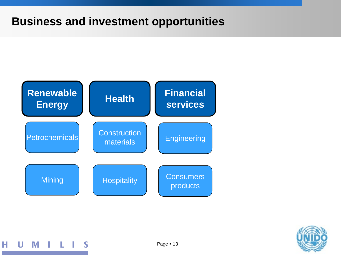#### **Business and investment opportunities**





н U M L.  $\mathsf{S}$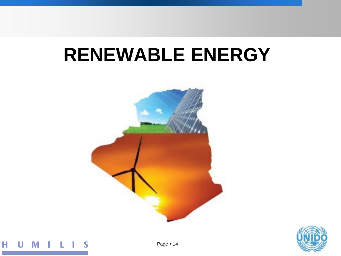# **RENEWABLE ENERGY**





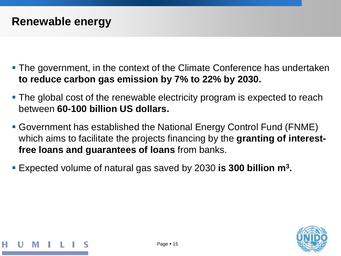#### **Renewable energy**

- The government, in the context of the Climate Conference has undertaken **to reduce carbon gas emission by 7% to 22% by 2030.**
- The global cost of the renewable electricity program is expected to reach between **60-100 billion US dollars.**
- Government has established the National Energy Control Fund (FNME) which aims to facilitate the projects financing by the **granting of interestfree loans and guarantees of loans** from banks.
- Expected volume of natural gas saved by 2030 **is 300 billion m3.**

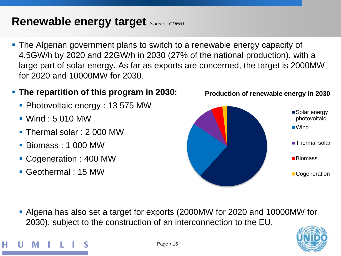#### **Renewable energy target** *(source : CDER)*

 The Algerian government plans to switch to a renewable energy capacity of 4.5GW/h by 2020 and 22GW/h in 2030 (27% of the national production), with a large part of solar energy. As far as exports are concerned, the target is 2000MW for 2020 and 10000MW for 2030.

#### **The repartition of this program in 2030:**

- Photovoltaic energy : 13 575 MW
- $\blacksquare$  Wind  $\cdot$  5 010 MW
- Thermal solar : 2 000 MW
- Biomass : 1 000 MW
- Cogeneration : 400 MW
- Geothermal : 15 MW



 Algeria has also set a target for exports (2000MW for 2020 and 10000MW for 2030), subject to the construction of an interconnection to the EU.

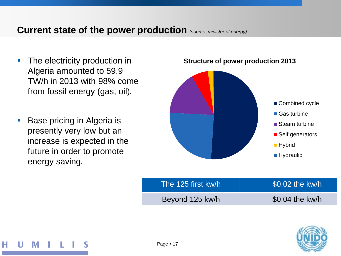#### **Current state of the power production** *(source :minister of energy)*

- **The electricity production in** Algeria amounted to 59.9 TW/h in 2013 with 98% come from fossil energy (gas, oil)*.*
- Base pricing in Algeria is presently very low but an increase is expected in the future in order to promote energy saving.



**Structure of power production 2013**

| The 125 first kw/h | \$0,02 the kw/h  |
|--------------------|------------------|
| Beyond 125 kw/h    | $$0,04$ the kw/h |

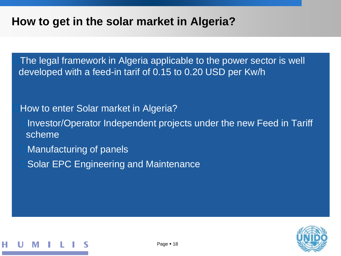### **How to get in the solar market in Algeria?**

The legal framework in Algeria applicable to the power sector is well developed with a feed-in tarif of 0.15 to 0.20 USD per Kw/h

How to enter Solar market in Algeria?

Investor/Operator Independent projects under the new Feed in Tariff scheme

Manufacturing of panels

Solar EPC Engineering and Maintenance



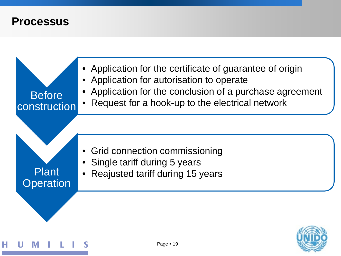#### **Processus**



Page  $-19$ 

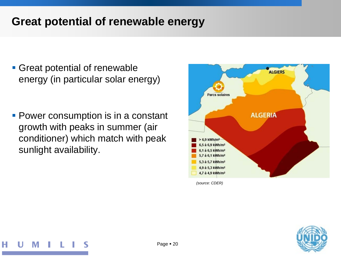### **Great potential of renewable energy**

**Great potential of renewable** energy (in particular solar energy)

**Power consumption is in a constant** growth with peaks in summer (air conditioner) which match with peak sunlight availability.

н



*(source: CDER)*

Page  $-20$ 

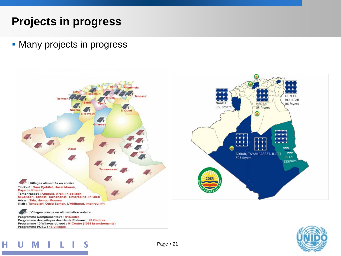## **Projects in progress**

**- Many projects in progress** 





н M ς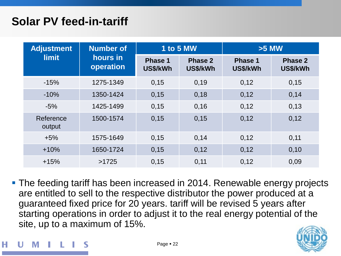### **Solar PV feed-in-tariff**

| <b>Adjustment</b>   | <b>Number of</b>      |                            | <b>1 to 5 MW</b>    |                            | $>5$ MW                    |  |
|---------------------|-----------------------|----------------------------|---------------------|----------------------------|----------------------------|--|
| <b>limit</b>        | hours in<br>operation | <b>Phase 1</b><br>US\$/kWh | Phase 2<br>US\$/kWh | <b>Phase 1</b><br>US\$/kWh | <b>Phase 2</b><br>US\$/kWh |  |
| $-15%$              | 1275-1349             | 0,15                       | 0,19                | 0,12                       | 0,15                       |  |
| $-10%$              | 1350-1424             | 0,15                       | 0,18                | 0,12                       | 0,14                       |  |
| $-5%$               | 1425-1499             | 0,15                       | 0,16                | 0,12                       | 0,13                       |  |
| Reference<br>output | 1500-1574             | 0,15                       | 0,15                | 0,12                       | 0,12                       |  |
| $+5%$               | 1575-1649             | 0,15                       | 0,14                | 0,12                       | 0,11                       |  |
| $+10%$              | 1650-1724             | 0,15                       | 0,12                | 0,12                       | 0,10                       |  |
| $+15%$              | >1725                 | 0,15                       | 0,11                | 0,12                       | 0,09                       |  |

**The feeding tariff has been increased in 2014. Renewable energy projects** are entitled to sell to the respective distributor the power produced at a guaranteed fixed price for 20 years. tariff will be revised 5 years after starting operations in order to adjust it to the real energy potential of the site, up to a maximum of 15%.

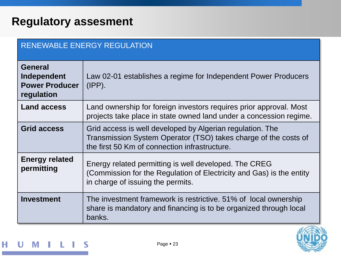### **Regulatory assesment**

| <b>RENEWABLE ENERGY REGULATION</b>                                   |                                                                                                                                                                               |  |  |  |
|----------------------------------------------------------------------|-------------------------------------------------------------------------------------------------------------------------------------------------------------------------------|--|--|--|
| <b>General</b><br>Independent<br><b>Power Producer</b><br>regulation | Law 02-01 establishes a regime for Independent Power Producers<br>$(IPP)$ .                                                                                                   |  |  |  |
| <b>Land access</b>                                                   | Land ownership for foreign investors requires prior approval. Most<br>projects take place in state owned land under a concession regime.                                      |  |  |  |
| <b>Grid access</b>                                                   | Grid access is well developed by Algerian regulation. The<br>Transmission System Operator (TSO) takes charge of the costs of<br>the first 50 Km of connection infrastructure. |  |  |  |
| <b>Energy related</b><br>permitting                                  | Energy related permitting is well developed. The CREG<br>(Commission for the Regulation of Electricity and Gas) is the entity<br>in charge of issuing the permits.            |  |  |  |
| <b>Investment</b>                                                    | The investment framework is restrictive. 51% of local ownership<br>share is mandatory and financing is to be organized through local<br>banks.                                |  |  |  |

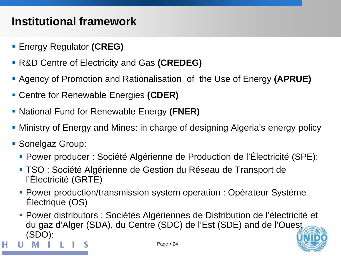### **Institutional framework**

- Energy Regulator **(CREG)**
- R&D Centre of Electricity and Gas **(CREDEG)**
- Agency of Promotion and Rationalisation of the Use of Energy **(APRUE)**
- Centre for Renewable Energies **(CDER)**
- National Fund for Renewable Energy **(FNER)**
- Ministry of Energy and Mines: in charge of designing Algeria's energy policy
- **Sonelgaz Group:** 
	- Power producer : Société Algérienne de Production de l'Électricité (SPE):
	- TSO : Société Algérienne de Gestion du Réseau de Transport de l'Électricité (GRTE)
	- Power production/transmission system operation : Opérateur Système Électrique (OS)
	- Power distributors : Sociétés Algériennes de Distribution de l'électricité et du gaz d'Alger (SDA), du Centre (SDC) de l'Est (SDE) and de l'Ouest (SDO):

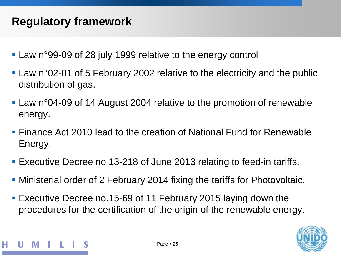## **Regulatory framework**

- Law n°99-09 of 28 july 1999 relative to the energy control
- Law n°02-01 of 5 February 2002 relative to the electricity and the public distribution of gas.
- Law n°04-09 of 14 August 2004 relative to the promotion of renewable energy.
- Finance Act 2010 lead to the creation of National Fund for Renewable Energy.
- Executive Decree no 13-218 of June 2013 relating to feed-in tariffs.
- Ministerial order of 2 February 2014 fixing the tariffs for Photovoltaic.
- Executive Decree no.15-69 of 11 February 2015 laying down the procedures for the certification of the origin of the renewable energy.

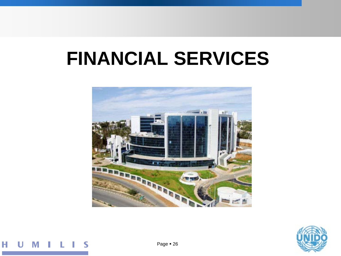# **FINANCIAL SERVICES**





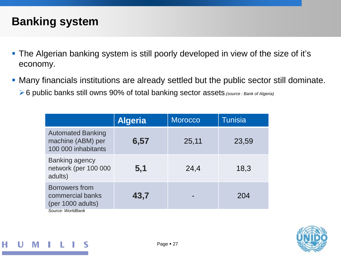### **Banking system**

- The Algerian banking system is still poorly developed in view of the size of it's economy.
- Many financials institutions are already settled but the public sector still dominate.
	- 6 public banks still owns 90% of total banking sector assets*.(source : Bank of Algeria)*

|                                                                                     | <b>Algeria</b> | <b>Morocco</b> | <b>Tunisia</b> |
|-------------------------------------------------------------------------------------|----------------|----------------|----------------|
| <b>Automated Banking</b><br>machine (ABM) per<br>100 000 inhabitants                | 6,57           | 25,11          | 23,59          |
| Banking agency<br>network (per 100 000<br>adults)                                   | 5,1            | 24,4           | 18,3           |
| <b>Borrowers from</b><br>commercial banks<br>(per 1000 adults)<br>Source: WorldBank | 43,7           |                | 204            |



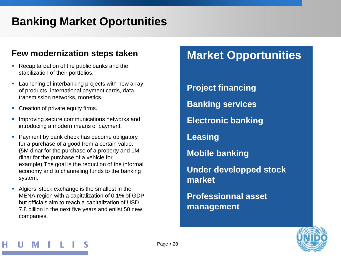# **Banking Market Oportunities**

#### **Few modernization steps taken**

- Recapitalization of the public banks and the stabilization of their portfolios.
- **Launching of interbanking projects with new array** of products, international payment cards, data transmission networks, monetics.
- Creation of private equity firms.
- **Improving secure communications networks and** introducing a modern means of payment.
- Payment by bank check has become obligatory for a purchase of a good from a certain value. (5M dinar for the purchase of a property and 1M dinar for the purchase of a vehicle for example).The goal is the reduction of the informal economy and to channeling funds to the banking system.
- Algiers' stock exchange is the smallest in the MENA region with a capitalization of 0.1% of GDP but officials aim to reach a capitalization of USD 7.8 billion in the next five years and enlist 50 new companies.

#### **Market Opportunities**

 **Project financing Banking services Electronic banking Leasing Mobile banking Under developped stock market Professionnal asset management**

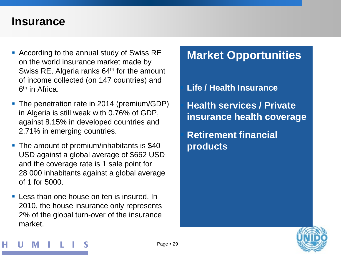#### **Insurance**

- According to the annual study of Swiss RE on the world insurance market made by Swiss RE, Algeria ranks 64<sup>th</sup> for the amount of income collected (on 147 countries) and 6th in Africa.
- The penetration rate in 2014 (premium/GDP) in Algeria is still weak with 0.76% of GDP, against 8.15% in developed countries and 2.71% in emerging countries.
- The amount of premium/inhabitants is \$40 USD against a global average of \$662 USD and the coverage rate is 1 sale point for 28 000 inhabitants against a global average of 1 for 5000.
- $\blacksquare$  Less than one house on ten is insured. In 2010, the house insurance only represents 2% of the global turn-over of the insurance market.

#### **Market Opportunities**

#### **Life / Health Insurance**

 **Health services / Private insurance health coverage**

 **Retirement financial products**



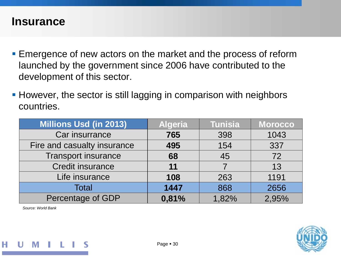#### **Insurance**

- **Emergence of new actors on the market and the process of reform** launched by the government since 2006 have contributed to the development of this sector.
- **However, the sector is still lagging in comparison with neighbors** countries.

| <b>Millions Usd (in 2013)</b> | <b>Algeria</b> | <b>Tunisia</b> | <b>Morocco</b> |
|-------------------------------|----------------|----------------|----------------|
| Car insurrance                | 765            | 398            | 1043           |
| Fire and casualty insurance   | 495            | 154            | 337            |
| <b>Transport insurance</b>    | 68             | 45             | 72             |
| <b>Credit insurance</b>       | 11             |                | 13             |
| Life insurance                | 108            | 263            | 1191           |
| <b>Total</b>                  | 1447           | 868            | 2656           |
| Percentage of GDP             | 0,81%          | 1.82%          | 2,95%          |

*Source: World Bank*

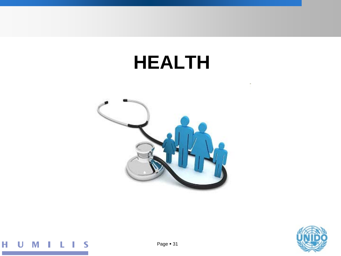# **HEALTH**





Н L I S M U I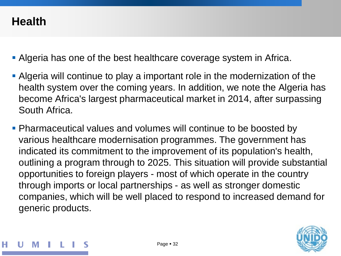### **Health**

- Algeria has one of the best healthcare coverage system in Africa.
- Algeria will continue to play a important role in the modernization of the health system over the coming years. In addition, we note the Algeria has become Africa's largest pharmaceutical market in 2014, after surpassing South Africa.
- **Pharmaceutical values and volumes will continue to be boosted by** various healthcare modernisation programmes. The government has indicated its commitment to the improvement of its population's health, outlining a program through to 2025. This situation will provide substantial opportunities to foreign players - most of which operate in the country through imports or local partnerships - as well as stronger domestic companies, which will be well placed to respond to increased demand for generic products.



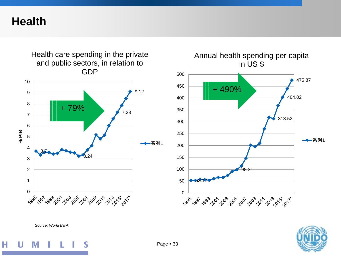#### **Health**

Health care spending in the private and public sectors, in relation to GDP





Annual health spending per capita



*Source: World Bank* 

н S M Ш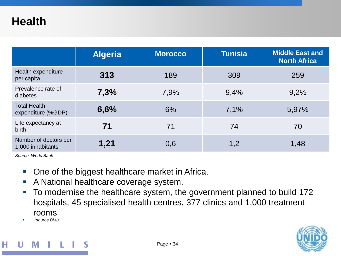#### **Health**

|                                            | <b>Algeria</b> | <b>Morocco</b> | <b>Tunisia</b> | <b>Middle East and</b><br><b>North Africa</b> |
|--------------------------------------------|----------------|----------------|----------------|-----------------------------------------------|
| Health expenditure<br>per capita           | 313            | 189            | 309            | 259                                           |
| Prevalence rate of<br>diabetes             | 7,3%           | 7,9%           | 9,4%           | 9,2%                                          |
| <b>Total Health</b><br>expenditure (%GDP)  | 6,6%           | 6%             | 7,1%           | 5,97%                                         |
| Life expectancy at<br><b>birth</b>         | 71             | 71             | 74             | 70                                            |
| Number of doctors per<br>1,000 inhabitants | 1,21           | 0,6            | 1,2            | 1,48                                          |

*Source: World Bank*

- One of the biggest healthcare market in Africa.
- **A National healthcare coverage system.**
- To modernise the healthcare system, the government planned to build 172 hospitals, 45 specialised health centres, 377 clinics and 1,000 treatment rooms

*.(source BMI)*

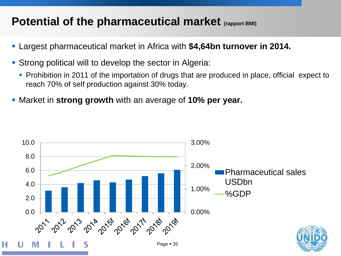## **Potential of the pharmaceutical market (rapport BMI)**

- Largest pharmaceutical market in Africa with **\$4,64bn turnover in 2014.**
- Strong political will to develop the sector in Algeria:
	- Prohibition in 2011 of the importation of drugs that are produced in place, official expect to reach 70% of self production against 30% today.
- Market in **strong growth** with an average of **10% per year.**

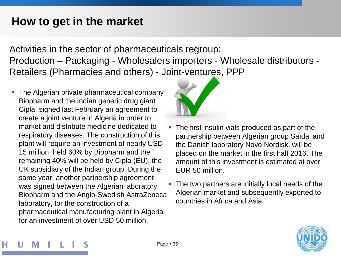### **How to get in the market**

Activities in the sector of pharmaceuticals regroup: Production – Packaging - Wholesalers importers - Wholesale distributors - Retailers (Pharmacies and others) - Joint-ventures, PPP

• The Algerian private pharmaceutical company Biopharm and the Indian generic drug giant Cipla, signed last February an agreement to create a joint venture in Algeria in order to market and distribute medicine dedicated to respiratory diseases. The construction of this plant will require an investment of nearly USD 15 million, held 60% by Biopharm and the remaining 40% will be held by Cipla (EU), the UK subsidiary of the Indian group. During the same year, another partnership agreement was signed between the Algerian laboratory Biopharm and the Anglo-Swedish AstraZeneca laboratory, for the construction of a pharmaceutical manufacturing plant in Algeria for an investment of over USD 50 million.



- The first insulin vials produced as part of the partnership between Algerian group Saïdal and the Danish laboratory Novo Nordisk, will be placed on the market in the first half 2016. The amount of this investment is estimated at over EUR 50 million.
- The two partners are initially local needs of the Algerian market and subsequently exported to countries in Africa and Asia.

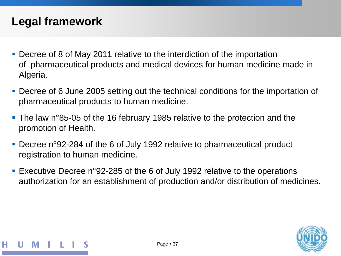# **Legal framework**

- Decree of 8 of May 2011 relative to the interdiction of the importation of pharmaceutical products and medical devices for human medicine made in Algeria.
- Decree of 6 June 2005 setting out the technical conditions for the importation of pharmaceutical products to human medicine.
- The law n°85-05 of the 16 february 1985 relative to the protection and the promotion of Health.
- Decree n°92-284 of the 6 of July 1992 relative to pharmaceutical product registration to human medicine.
- Executive Decree n°92-285 of the 6 of July 1992 relative to the operations authorization for an establishment of production and/or distribution of medicines.

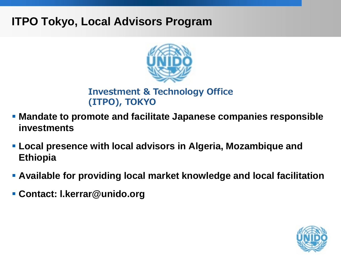# **ITPO Tokyo, Local Advisors Program**



**Investment & Technology Office (ITPO), TOKYO**

- **Mandate to promote and facilitate Japanese companies responsible investments**
- **Local presence with local advisors in Algeria, Mozambique and Ethiopia**
- **Available for providing local market knowledge and local facilitation**
- **Contact: l.kerrar@unido.org**